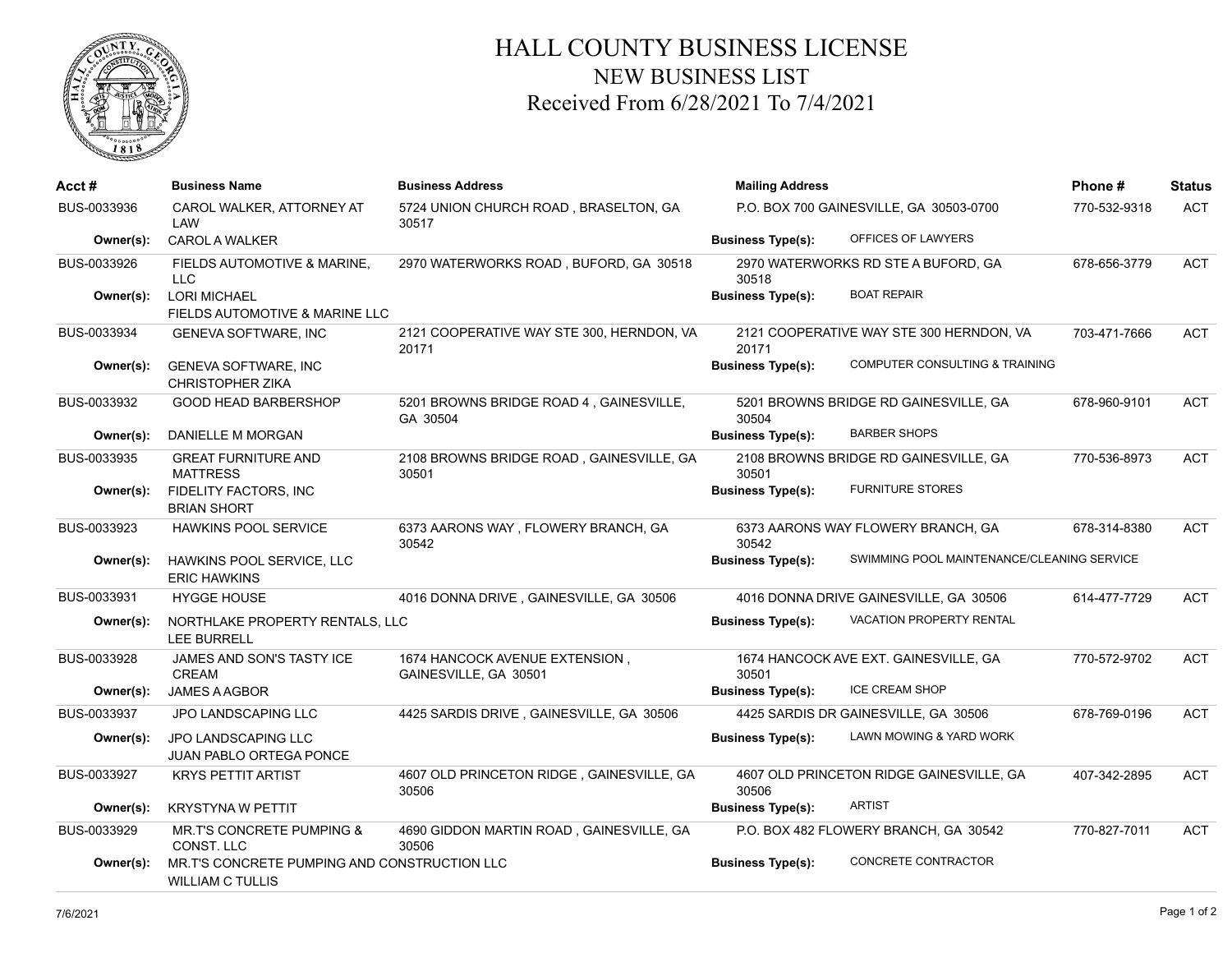

## HALL COUNTY BUSINESS LICENSE NEW BUSINESS LIST Received From 6/28/2021 To 7/4/2021

| Acct #      | <b>Business Name</b>                                                    | <b>Business Address</b>                                 | <b>Mailing Address</b>                  |                                            | Phone#       | <b>Status</b> |
|-------------|-------------------------------------------------------------------------|---------------------------------------------------------|-----------------------------------------|--------------------------------------------|--------------|---------------|
| BUS-0033936 | CAROL WALKER, ATTORNEY AT<br>LAW                                        | 5724 UNION CHURCH ROAD, BRASELTON, GA<br>30517          | P.O. BOX 700 GAINESVILLE, GA 30503-0700 |                                            | 770-532-9318 | <b>ACT</b>    |
| Owner(s):   | <b>CAROL A WALKER</b>                                                   |                                                         | <b>Business Type(s):</b>                | OFFICES OF LAWYERS                         |              |               |
| BUS-0033926 | FIELDS AUTOMOTIVE & MARINE,<br><b>LLC</b>                               | 2970 WATERWORKS ROAD, BUFORD, GA 30518                  | 30518                                   | 2970 WATERWORKS RD STE A BUFORD, GA        | 678-656-3779 | <b>ACT</b>    |
| Owner(s):   | <b>LORI MICHAEL</b><br>FIELDS AUTOMOTIVE & MARINE LLC                   |                                                         | <b>Business Type(s):</b>                | <b>BOAT REPAIR</b>                         |              |               |
| BUS-0033934 | <b>GENEVA SOFTWARE, INC</b>                                             | 2121 COOPERATIVE WAY STE 300, HERNDON, VA<br>20171      | 20171                                   | 2121 COOPERATIVE WAY STE 300 HERNDON, VA   | 703-471-7666 | <b>ACT</b>    |
| Owner(s):   | <b>GENEVA SOFTWARE, INC</b><br><b>CHRISTOPHER ZIKA</b>                  |                                                         | <b>Business Type(s):</b>                | <b>COMPUTER CONSULTING &amp; TRAINING</b>  |              |               |
| BUS-0033932 | <b>GOOD HEAD BARBERSHOP</b>                                             | 5201 BROWNS BRIDGE ROAD 4, GAINESVILLE,<br>GA 30504     | 30504                                   | 5201 BROWNS BRIDGE RD GAINESVILLE, GA      | 678-960-9101 | <b>ACT</b>    |
| Owner(s):   | DANIELLE M MORGAN                                                       |                                                         | <b>Business Type(s):</b>                | <b>BARBER SHOPS</b>                        |              |               |
| BUS-0033935 | <b>GREAT FURNITURE AND</b><br><b>MATTRESS</b>                           | 2108 BROWNS BRIDGE ROAD, GAINESVILLE, GA<br>30501       | 30501                                   | 2108 BROWNS BRIDGE RD GAINESVILLE, GA      | 770-536-8973 | <b>ACT</b>    |
| Owner(s):   | FIDELITY FACTORS, INC<br><b>BRIAN SHORT</b>                             |                                                         | <b>Business Type(s):</b>                | <b>FURNITURE STORES</b>                    |              |               |
| BUS-0033923 | HAWKINS POOL SERVICE                                                    | 6373 AARONS WAY, FLOWERY BRANCH, GA<br>30542            | 30542                                   | 6373 AARONS WAY FLOWERY BRANCH, GA         | 678-314-8380 | <b>ACT</b>    |
| Owner(s):   | HAWKINS POOL SERVICE, LLC<br><b>ERIC HAWKINS</b>                        |                                                         | <b>Business Type(s):</b>                | SWIMMING POOL MAINTENANCE/CLEANING SERVICE |              |               |
| BUS-0033931 | <b>HYGGE HOUSE</b>                                                      | 4016 DONNA DRIVE, GAINESVILLE, GA 30506                 |                                         | 4016 DONNA DRIVE GAINESVILLE, GA 30506     | 614-477-7729 | <b>ACT</b>    |
| Owner(s):   | NORTHLAKE PROPERTY RENTALS, LLC<br><b>LEE BURRELL</b>                   |                                                         | <b>Business Type(s):</b>                | VACATION PROPERTY RENTAL                   |              |               |
| BUS-0033928 | <b>JAMES AND SON'S TASTY ICE</b><br>CREAM                               | 1674 HANCOCK AVENUE EXTENSION,<br>GAINESVILLE, GA 30501 | 30501                                   | 1674 HANCOCK AVE EXT. GAINESVILLE, GA      | 770-572-9702 | <b>ACT</b>    |
| Owner(s):   | <b>JAMES A AGBOR</b>                                                    |                                                         | <b>Business Type(s):</b>                | <b>ICE CREAM SHOP</b>                      |              |               |
| BUS-0033937 | <b>JPO LANDSCAPING LLC</b>                                              | 4425 SARDIS DRIVE, GAINESVILLE, GA 30506                |                                         | 4425 SARDIS DR GAINESVILLE, GA 30506       | 678-769-0196 | <b>ACT</b>    |
| Owner(s):   | <b>JPO LANDSCAPING LLC</b><br><b>JUAN PABLO ORTEGA PONCE</b>            |                                                         | <b>Business Type(s):</b>                | LAWN MOWING & YARD WORK                    |              |               |
| BUS-0033927 | <b>KRYS PETTIT ARTIST</b>                                               | 4607 OLD PRINCETON RIDGE, GAINESVILLE, GA<br>30506      | 30506                                   | 4607 OLD PRINCETON RIDGE GAINESVILLE, GA   | 407-342-2895 | <b>ACT</b>    |
| Owner(s):   | <b>KRYSTYNA W PETTIT</b>                                                |                                                         | <b>Business Type(s):</b>                | <b>ARTIST</b>                              |              |               |
| BUS-0033929 | MR.T'S CONCRETE PUMPING &<br>CONST. LLC                                 | 4690 GIDDON MARTIN ROAD, GAINESVILLE, GA<br>30506       |                                         | P.O. BOX 482 FLOWERY BRANCH, GA 30542      | 770-827-7011 | <b>ACT</b>    |
| Owner(s):   | MR.T'S CONCRETE PUMPING AND CONSTRUCTION LLC<br><b>WILLIAM C TULLIS</b> |                                                         | <b>Business Type(s):</b>                | CONCRETE CONTRACTOR                        |              |               |